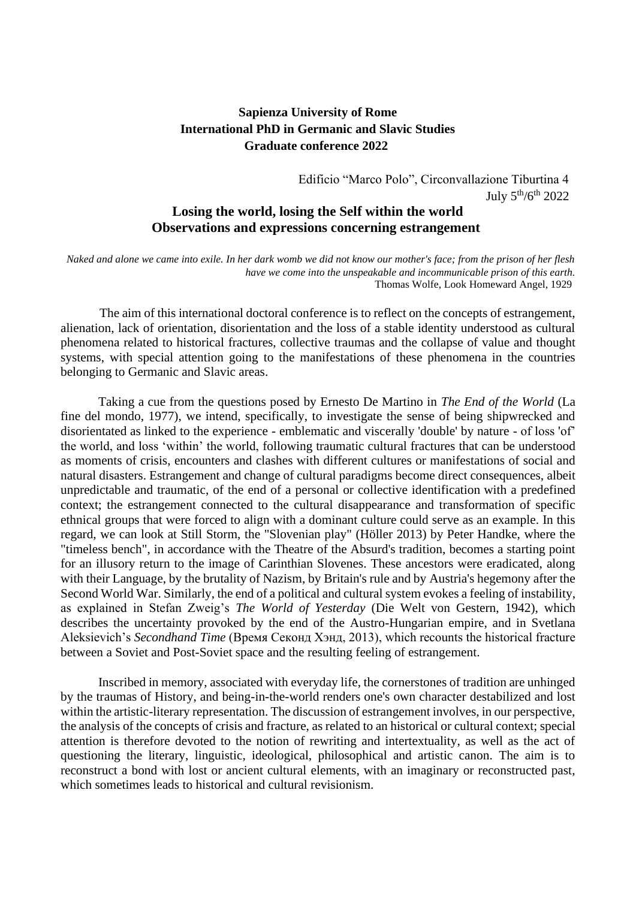## **Sapienza University of Rome International PhD in Germanic and Slavic Studies Graduate conference 2022**

Edificio "Marco Polo", Circonvallazione Tiburtina 4 July  $5^{th}/6^{th}$  2022

## **Losing the world, losing the Self within the world Observations and expressions concerning estrangement**

*Naked and alone we came into exile. In her dark womb we did not know our mother's face; from the prison of her flesh have we come into the unspeakable and incommunicable prison of this earth.* Thomas Wolfe, Look Homeward Angel, 1929

The aim of this international doctoral conference is to reflect on the concepts of estrangement, alienation, lack of orientation, disorientation and the loss of a stable identity understood as cultural phenomena related to historical fractures, collective traumas and the collapse of value and thought systems, with special attention going to the manifestations of these phenomena in the countries belonging to Germanic and Slavic areas.

Taking a cue from the questions posed by Ernesto De Martino in *The End of the World* (La fine del mondo, 1977), we intend, specifically, to investigate the sense of being shipwrecked and disorientated as linked to the experience - emblematic and viscerally 'double' by nature - of loss 'of' the world, and loss 'within' the world, following traumatic cultural fractures that can be understood as moments of crisis, encounters and clashes with different cultures or manifestations of social and natural disasters. Estrangement and change of cultural paradigms become direct consequences, albeit unpredictable and traumatic, of the end of a personal or collective identification with a predefined context; the estrangement connected to the cultural disappearance and transformation of specific ethnical groups that were forced to align with a dominant culture could serve as an example. In this regard, we can look at Still Storm, the "Slovenian play" (Höller 2013) by Peter Handke, where the "timeless bench", in accordance with the Theatre of the Absurd's tradition, becomes a starting point for an illusory return to the image of Carinthian Slovenes. These ancestors were eradicated, along with their Language, by the brutality of Nazism, by Britain's rule and by Austria's hegemony after the Second World War. Similarly, the end of a political and cultural system evokes a feeling of instability, as explained in Stefan Zweig's *The World of Yesterday* (Die Welt von Gestern, 1942), which describes the uncertainty provoked by the end of the Austro-Hungarian empire, and in Svetlana Aleksievich's *Secondhand Time* (Время Секонд Хэнд, 2013), which recounts the historical fracture between a Soviet and Post-Soviet space and the resulting feeling of estrangement.

Inscribed in memory, associated with everyday life, the cornerstones of tradition are unhinged by the traumas of History, and being-in-the-world renders one's own character destabilized and lost within the artistic-literary representation. The discussion of estrangement involves, in our perspective, the analysis of the concepts of crisis and fracture, as related to an historical or cultural context; special attention is therefore devoted to the notion of rewriting and intertextuality, as well as the act of questioning the literary, linguistic, ideological, philosophical and artistic canon. The aim is to reconstruct a bond with lost or ancient cultural elements, with an imaginary or reconstructed past, which sometimes leads to historical and cultural revisionism.